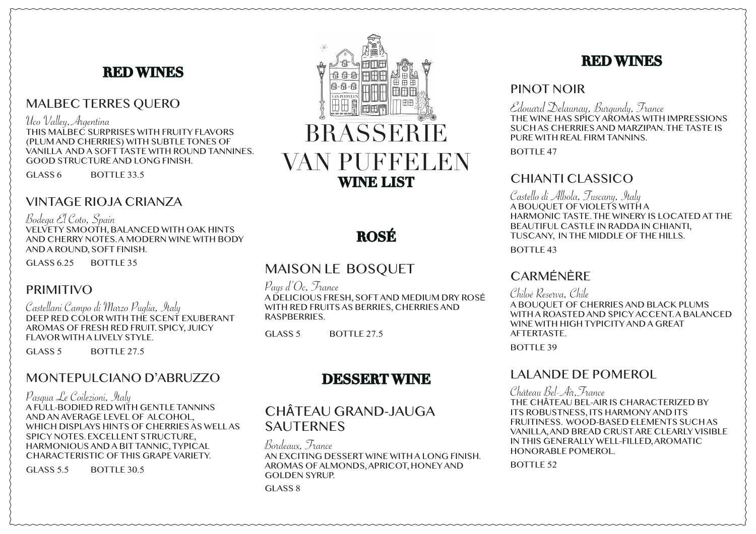# **RED WINES**

# MALBEC TERRES QUERO

Uco Valley,Argentina

THIS MALBEC SURPRISES WITH FRUITY FLAVORS (PLUM AND CHERRIES) WITH SUBTLE TONES OF VANILLA AND A SOFT TASTE WITH ROUND TANNINES. GOOD STRUCTURE AND LONG FINISH.

GLASS 6 BOTTLE 33.5

# VINTAGE RIOJA CRIANZA

Bodega El Coto, Spain VELVETY SMOOTH, BALANCED WITH OAK HINTS AND CHERRY NOTES. A MODERN WINE WITH BODY AND A ROUND, SOFT FINISH.

GLASS 6.25 BOTTLE 35

### PRIMITIVO

Castellani Campo di Marzo Puglia, Italy DEEP RED COLOR WITH THE SCENT EXUBERANT AROMAS OF FRESH RED FRUIT. SPICY, JUICY FLAVOR WITH A LIVELY STYLE.

GLASS 5 BOTTLE 27.5

# MONTEPULCIANO D'ABRUZZO

Pasqua Le Coilezioni, Italy A FULL-BODIED RED WITH GENTLE TANNINS AND AN AVERAGE LEVEL OF ALCOHOL, WHICH DISPLAYS HINTS OF CHERRIES AS WELL AS SPICY NOTES. EXCELLENT STRUCTURE, HARMONIOUS AND A BIT TANNIC, TYPICAL CHARACTERISTIC OF THIS GRAPE VARIETY.

GLASS  $5.5$  BOTTLE 30.5



# **ROSÉ**

# MAISON LE BOSQUET

Pays d'Oc, France A DELICIOUS FRESH, SOFT AND MEDIUM DRY ROSÉ WITH RED FRUITS AS BERRIES, CHERRIES AND **RASPBERRIES** 

GLASS 5 BOTTLE 27.5

# **DESSERT WINE**

# CHÂTEAU GRAND-JAUGA **SAUTERNES**

Bordeaux, France AN EXCITING DESSERT WINE WITH A LONG FINISH. AROMAS OF ALMONDS, APRICOT, HONEY AND GOLDEN SYRUP. GLASS 8

# **RED WINES**

#### PINOT NOIR

Edouard Delaunay, Burgundy, France THE WINE HAS SPICY AROMAS WITH IMPRESSIONS SUCH AS CHERRIES AND MARZIPAN. THE TASTE IS PURE WITH REAL FIRM TANNINS.

BOTTLE 47

# CHIANTI CLASSICO

Castello di Albola, Tuscany, Italy A BOUQUET OF VIOLETS WITH A HARMONIC TASTE. THE WINERY IS LOCATED AT THE BEAUTIFUL CASTLE IN RADDA IN CHIANTI, TUSCANY, IN THE MIDDLE OF THE HILLS.

BOTTLE 43

# **CARMÉNÈRE**

Chiloé Reserva, Chile

A BOUQUET OF CHERRIES AND BLACK PLUMS WITH A ROASTED AND SPICY ACCENT. A BALANCED WINE WITH HIGH TYPICITY AND A GREAT **AFTERTASTE** 

BOTTLE 39

### LALANDE DE POMEROL

Château Bel-Air,France THE CHÂTEAU BEL-AIR IS CHARACTERIZED BY ITS ROBUSTNESS, ITS HARMONY AND ITS FRUITINESS. WOOD-BASED ELEMENTS SUCH AS VANILLA, AND BREAD CRUST ARE CLEARLY VISIBLE IN THIS GENERALLY WELL-FILLED, AROMATIC HONORABLE POMEROL.

BOTTLE 52